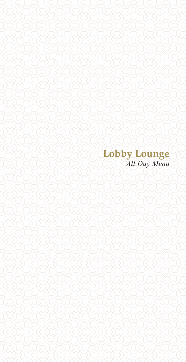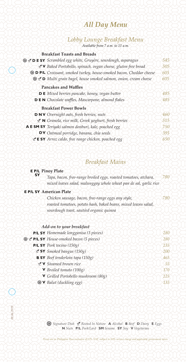### *All Day Menu*

#### *Lobby Lounge Breakfast Menu Available from 7 a.m. to 11 a.m.*

#### **Breakfast Toasts and Breads**

| S L' DE SY Scrambled egg white, Gruyère, sourdough, asparagus             | 545 |
|---------------------------------------------------------------------------|-----|
| Y Baked Portobello, spinach, vegan cheese, gluten free bread              | 505 |
| <b>D PIL</b> Croissant, smoked turkey, house-smoked bacon, Cheddar cheese | 605 |
| <b>Set D</b> Multi grain bagel, house smoked salmon, onion, cream cheese  | 605 |
| <b>Pancakes and Waffles</b>                                               |     |
| <b>DE</b> Mixed berries pancake, honey, vegan butter                      | 485 |
| <b>DEN</b> Chocolate waffles, Mascarpone, almond flakes                   | 485 |
| <b>Breakfast Power Bowls</b>                                              |     |
| <b>DNV</b> Overnight oats, fresh berries, nuts                            | 460 |
| $\mathbf{\mathcal{L}}$ N Granola, rice milk, Greek yoghurt, fresh berries | 515 |
| A E SM SY Teriyaki salmon donburi, kale, poached egg                      | 750 |
| DV Oatmeal porridge, banana, chia seeds                                   | 395 |
| <b>E SY</b> Arroz caldo, free range chicken, poached egg                  | 650 |

# *Breakfast Mains*

#### **E P/L Pinoy Plate SY**

| Tapa, bacon, free-range broiled eggs, roasted tomatoes, atchara,  | 780 |
|-------------------------------------------------------------------|-----|
| mixed leaves salad, malunggay whole wheat pan de sal, garlic rice |     |

#### **E P/L SY American Plate**

| Chicken sausage, bacon, free-range eggs any style,              | 780 |
|-----------------------------------------------------------------|-----|
| roasted tomatoes, potato hash, baked beans, mixed leaves salad, |     |
| sourdough toast, sautéed organic quinoa                         |     |

#### *Add-on to your breakfast*

| P/L SY Homemade longganisa (3 pieces)      | 280        |
|--------------------------------------------|------------|
| PIL SY House-smoked bacon (5 pieces)       | 280        |
| <b>P/L SY</b> Pork tocino $(150g)$         | 235        |
| $\leq$ SY Smoked bangus (150g)             | 200        |
| <b>B SY</b> Beef tenderloin tapa $(150g)$  | 465        |
| Y Steamed brown rice                       | $55^\circ$ |
| $\blacktriangledown$ Broiled tomato (100g) | 170        |
| V Grilled Portobello mushroom $(80g)$      | 225        |
| • V Balut (duckling egg)                   | 135        |
|                                            |            |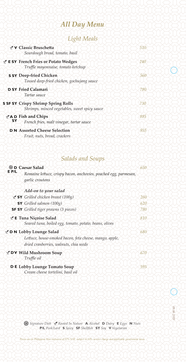## *All Day Menu.*

### *Light Meals*

|           | V Classic Bruschetta<br>Sourdough bread, tomato, basil                                 | 510 |
|-----------|----------------------------------------------------------------------------------------|-----|
|           | $\leq$ <b>E SY</b> French Fries or Potato Wedges<br>Truffle mayonnaise, tomato ketchup | 240 |
|           | <b>S SY Deep-fried Chicken</b><br>Tossed deep-fried chicken, gochujang sauce           | 560 |
|           | <b>D SY Fried Calamari</b><br>Tartar sauce                                             | 780 |
|           | S SF SY Crispy Shrimp Spring Rolls<br>Shrimps, minced vegetables, sweet spicy sauce    | 730 |
| <b>SY</b> | <b>AD</b> Fish and Chips<br>French fries, malt vinegar, tartar sauce                   | 885 |
|           | <b>D N</b> Assorted Cheese Selection<br>Fruit, nuts, bread, crackers                   | 955 |

#### *Salads and Soups*

|       | <b>D</b> Caesar Salad                                            | 650 |
|-------|------------------------------------------------------------------|-----|
| E P/L | Romaine lettuce, crispy bacon, anchovies, poached egg, parmesan, |     |
|       | garlic croutons                                                  |     |
|       | Add-on to your salad                                             |     |
|       | $\blacktriangleright$ SY Grilled chicken breast (100g)           | 260 |
|       | <b>SY</b> Grilled salmon $(100g)$                                | 620 |
|       | <b>SF SY</b> Grilled tiger prawns (3 pieces)                     | 780 |
|       | ⊻ E Tuna Niçoise Salad                                           | 810 |
|       | Seared tuna, boiled egg, tomato, potato, beans, olives           |     |
|       | D N Lobby Lounge Salad                                           | 680 |
|       | Lettuce, house-smoked bacon, feta cheese, mango, apple,          |     |
|       | dried cranberries, walnuts, chia seeds                           |     |
|       | DV Wild Mushroom Soup                                            | 670 |
|       | Truffle oil                                                      |     |
|       | <b>DE</b> Lobby Lounge Tomato Soup                               | 595 |
|       | Cream cheese tortelini, basil oil                                |     |

 *Signature Dish Rooted In Nature* **A** *Alcohol* **D** *Dairy* **E** *Eggs* **N** *Nuts* **P/L** *Pork/Lard* **S** *Spicy* **SF** *Shellfish* **SY** *Soy* **V** *Vegetarian*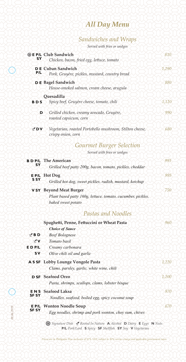# *All Day Menu*

#### *Sandwiches and Wraps*

|  |  | Served with fries or wedges |
|--|--|-----------------------------|
|  |  |                             |

|                            | screen win pas or weages                                                       |       |
|----------------------------|--------------------------------------------------------------------------------|-------|
| SΥ                         | <b>SEP/L Club Sandwich</b><br>Chicken, bacon, fried egg, lettuce, tomato       | 810   |
| P/L                        | <b>DE</b> Cuban Sandwich<br>Pork, Gruyère, pickles, mustard, country bread     | 1,290 |
|                            | D E Bagel Sandwich<br>House-smoked salmon, cream cheese, arugula               | 880   |
|                            | Ouesadilla                                                                     |       |
| <b>BDS</b>                 | Spicy beef, Gruyère cheese, tomato, chili                                      | 1,120 |
| D                          | Grilled chicken, creamy avocado, Gruyère,<br>roasted capsicum, corn            | 990   |
| YDV                        | Vegetarian, roasted Portobello mushroom, Stilton cheese,<br>crispy onion, corn | 680   |
|                            | <b>Gourmet Burger Selection</b>                                                |       |
|                            |                                                                                |       |
|                            | Served with fries or wedges                                                    |       |
| <b>BDP/L</b>               | <b>The American</b>                                                            | 995   |
| SΥ                         | Grilled beef patty 200g, bacon, tomato, pickles, cheddar                       |       |
| E P/L                      | <b>Hot Dog</b>                                                                 | 995   |
| <b>SSY</b>                 | Grilled hot dog, sweet pickles, radish, mustard, ketchup                       |       |
|                            |                                                                                |       |
|                            | <b>V SY</b> Beyond Meat Burger                                                 | 750   |
|                            | Plant based patty 160g, lettuce, tomato, cucumber, pickles,                    |       |
|                            | baked sweet potato                                                             |       |
|                            | Pastas and Noodles                                                             |       |
|                            | Spaghetti, Penne, Fettuccini or Wheat Pasta                                    | 960   |
|                            | <b>Choice of Sauce</b>                                                         |       |
| $\angle$ BD                | <b>Beef Bolognese</b>                                                          |       |
| <b>YV</b>                  | Tomato basil                                                                   |       |
| $E$ D $P/L$                | Creamy carbonara                                                               |       |
| <b>SV</b>                  | Olive chili oil and garlic                                                     |       |
|                            |                                                                                |       |
| A S SF                     | <b>Lobby Lounge Vongole Pasta</b>                                              | 1,220 |
|                            | Clams, parsley, garlic, white wine, chili                                      |       |
|                            | <b>D SF</b> Seafood Orzo                                                       | 1,200 |
|                            | Pasta, shrimps, scallops, clams, lobster bisque                                |       |
|                            |                                                                                |       |
| <b>ENS</b><br><b>SF SY</b> | <b>Seafood Laksa</b>                                                           | 970   |
|                            | Noodles, seafood, boiled egg, spicy coconut soup                               |       |
| E P/L                      | <b>Wonton Noodle Soup</b>                                                      | 670   |
| <b>SF SY</b>               | Egg noodles, shrimp and pork wonton, choy sum, chives                          |       |
|                            | Signature Dish Y Rooted In Nature A Alcohol D Dairy E Eggs N Nuts              |       |

**P/L** *Pork/Lard* **S** *Spicy* **SF** *Shellfish* **SY** *Soy* **V** *Vegetarian*

*09.06.2019*

09.06.2019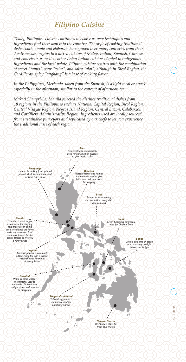#### *Filipino Cuisine*

*Today, Philippine cuisine continues to evolve as new techniques and* ingredients find their way into the country. The style of cooking traditional *dishes both simple and elaborate have grown over many centuries from their Austronesian origins to a mixed cuisine of Malay, Indian, Spanish, Chinese and American, as well as other Asian Indian cuisine adapted to indigenous ingredients and the local palate. Filipino cuisine centres with the combination of sweet "tamis", sour "asim", and salty "alat", although in Bicol Region, the Cordilleras, spicy "anghang" is a base of cooking flavor.*

*In the Philippines, Merienda, taken from the Spanish, is a light meal or snack especially in the afternoon, similar to the concept of afternoon tea.*

*Makati Shangri-La, Manila selected the distinct traditional dishes from 18 regions in the Philippines such as National Capital Region, Bicol Region, Central Visayas Region, Negros Island Region, Central Luzon, Calabarzon and Cordillera Administrative Region. Ingredients used are locally sourced from sustainable purveyors and replicated by our chefs to let you experience the traditional taste of each region.*

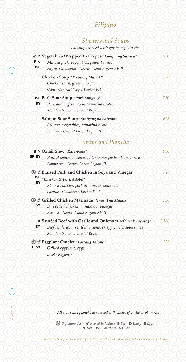## *Filipino*

#### *Starters and Soups*

| All soups served with garlic or plain rice |  |  |  |
|--------------------------------------------|--|--|--|
|                                            |  |  |  |

| <b>EN</b>    | ⊻ D Vegetables Wrapped In Crepes "Lumpiang Sariwa"<br>Minced pork, vegetables, peanut sauce                                                                  | 530   |
|--------------|--------------------------------------------------------------------------------------------------------------------------------------------------------------|-------|
| P/L          | Negros Occidental - Negros Island Region XVIII                                                                                                               |       |
|              | Chicken Soup "Tinolang Manok"                                                                                                                                | 730   |
|              | Chicken soup, green papaya<br>Cebu - Central Visayas Region VII                                                                                              |       |
| SΥ           | P/L Pork Sour Soup "Pork Sinigang"<br>Pork and vegetables in tamarind broth<br>Manila - National Capital Region                                              | 710   |
|              | Salmon Sour Soup "Sinigang na Salmon"<br>Salmon, vegetables, tamarind broth                                                                                  | 695   |
|              | Bulacan - Central Luzon Region III<br>Stews and Plancha                                                                                                      |       |
|              | <b>B N Oxtail Stew "Kare-Kare"</b>                                                                                                                           | 980   |
| <b>SF SY</b> | Peanut sauce stewed oxtail, shrimp paste, steamed rice<br>Pampanga - Central Luzon Region III                                                                |       |
|              | <b>Secure 2 Braised Pork and Chicken in Soya and Vinegar</b>                                                                                                 | 710   |
| SY           | P/L "Chicken & Pork Adobo"<br>Stewed chicken, pork in vinegar, soya sauce<br>Laguna - Calabarzon Region IV-A                                                 |       |
| SΥ           | Se Crilled Chicken Marinade "Inasal na Manok"<br>Barbecued chicken, annato oil, vinegar<br>Bacolod - Negros Island Region XVIII                              | 730   |
| SΥ           | B Sautéed Beef with Garlic and Onions "Beef Steak Tagalog"<br>Beef tenderloin, sautéed onions, crispy garlic, soya sauce<br>Manila - National Capital Region | 1,100 |
| <b>ESY</b>   | Seggplant Omelet "Tortang Talong"<br>Grilled eggplant, eggs<br>Bicol - Region V                                                                              | 530   |

*All stews and plancha are served with choice of garlic or plain rice.*

 *Signature Dish Rooted In Nature* **B** *Beef* **D** *Dairy* **E** *Eggs* **N** *Nuts* **P/L** *Pork/Lard* **SY** *Soy*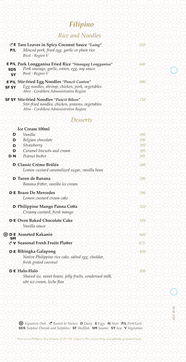# *Filipino*

### *Rice and Noodles*

| P/L                     | Let Taro Leaves in Spicy Coconut Sauce "Laing"<br>Minced pork, fried egg, garlic or plain rice<br>Bicol - Region V                               | 530 |
|-------------------------|--------------------------------------------------------------------------------------------------------------------------------------------------|-----|
| <b>SDS</b><br><b>SY</b> | <b>E P/L Pork Longganisa Fried Rice "Sinangag Longganisa"</b><br>Pork sausage, garlic, onion, egg, soy sauce<br>Bicol - Region V                 | 640 |
| <b>SF SY</b>            | <b>E P/L Stir-fried Egg Noodles "Pancit Canton"</b><br>Egg noodles, shrimp, chicken, pork, vegetables<br>Abra - Cordillera Administrative Region | 880 |
|                         | <b>SF SY Stir-fried Noodles "Pancit Bihon"</b><br>Stir-fried noodles, chicken, prawns, vegetables<br>Abra - Cordillera Administrative Region     | 710 |
|                         | Desserts                                                                                                                                         |     |
|                         | <b>Ice Cream 100ml</b>                                                                                                                           |     |
| D                       | Vanilla                                                                                                                                          | 395 |
| D                       | Belgian chocolate                                                                                                                                | 395 |
| D                       | Strawberry                                                                                                                                       | 395 |
| D                       | Caramel biscuits and cream                                                                                                                       | 395 |
| D N                     | Peanut butter                                                                                                                                    | 395 |
|                         | D Classic Crème Brûlée                                                                                                                           | 280 |
|                         | Lemon custard caramelized sugar, vanilla bean                                                                                                    |     |
|                         | D Turon de Banana                                                                                                                                | 280 |
|                         | Banana fritter, vanilla ice cream                                                                                                                |     |
|                         | <b>DE Brazo De Mercedes</b>                                                                                                                      | 280 |
|                         | Lemon custard cream cake                                                                                                                         |     |
|                         | D Philippine Mango Panna Cotta<br>Creamy custard, fresh mango                                                                                    | 320 |
|                         | <b>DE Oven Baked Chocolate Cake</b><br>Vanilla sauce                                                                                             | 320 |
|                         | <b>DE</b> Assorted Kakanin                                                                                                                       | 660 |
| SΜ                      | V Seasonal Fresh Fruits Platter                                                                                                                  | 675 |
|                         | D E Bibingka Galapong<br>Native Philippine rice cake, salted egg, cheddar,<br>fresh grated coconut                                               | 430 |
|                         | D E Halo-Halo<br>Shaved ice, sweet beans, jelly fruits, condensed milk,<br>ube ice cream, leche flan                                             | 800 |
|                         |                                                                                                                                                  |     |

€

09.06.2019 *09.06.2019*

 *Signature Dish Rooted In Nature* **D** *Dairy* **E** *Eggs* **N** *Nuts* **P/L** *Pork/Lard* **SDS** *Sulphur Dioxide and Sulphites* **SF** *Shellfish* **SM** *Sesame* **SY** *Soy* **V** *Vegetarian*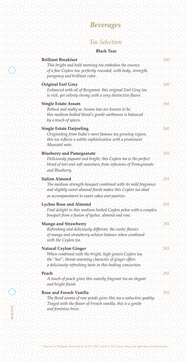#### *Tea Selection*

#### **Black Teas**

| <b>Brilliant Breakfast</b>                                                                                                                                                             | 160 |
|----------------------------------------------------------------------------------------------------------------------------------------------------------------------------------------|-----|
| This bright and bold morning tea embodies the essence<br>of a fine Ceylon tea: perfectly rounded, with body, strength,                                                                 |     |
| pungency and brilliant color.                                                                                                                                                          |     |
| <b>Original Earl Grey</b><br>Enhanced with oil of Bergamot, this original Earl Grey tea<br>is rich, yet velvety strong with a very distinctive flavor.                                 | 160 |
|                                                                                                                                                                                        |     |
| <b>Single Estate Assam</b><br>Robust and malty as Assam teas are known to be,                                                                                                          | 160 |
| this medium bodied blend's gentle earthiness is balanced<br>by a touch of spices.                                                                                                      |     |
| <b>Single Estate Darjeeling</b>                                                                                                                                                        | 160 |
| Originating from India's most famous tea growing region,<br>this tea reflects a subtle sophistication with a prominent<br>Muscatel note.                                               |     |
|                                                                                                                                                                                        |     |
| <b>Blueberry and Pomegranate</b><br>Deliciously piquant and bright, this Ceylon tea is the perfect<br>blend of tart and soft sweetness from infusions of Pomegranate<br>and Blueberry. | 205 |
| <b>Italian Almond</b>                                                                                                                                                                  | 205 |
| The medium strength bouquet combined with its mild fragrance<br>and slightly sweet almond finish makes this Ceylon tea ideal<br>as accompaniment to sweet cakes and pastries.          |     |
|                                                                                                                                                                                        |     |
| <b>Lychee Rose and Almond</b><br>Find delight in this medium bodied Ceylon pekoe with a complex<br>bouquet from a fusion of lychee, almond and rose.                                   | 205 |
| <b>Mango and Strawberry</b>                                                                                                                                                            | 205 |
| Refreshing and deliciously different, the exotic flavors<br>of mango and strawberry achieve balance when combined<br>with the Ceylon tea.                                              |     |
| <b>Natural Ceylon Ginger</b>                                                                                                                                                           | 205 |
| When combined with the bright, high grown Ceylon tea,<br>the "hot", throat-warming character of ginger offers<br>a deliciously refreshing taste in this healing concoction.            |     |
| Peach                                                                                                                                                                                  | 205 |
| A touch of peach gives this sweetly fragrant tea an elegant<br>and bright finish.                                                                                                      |     |
| <b>Rose and French Vanilla</b>                                                                                                                                                         | 205 |
| The floral aroma of rose petals gives this tea a seductive quality.<br>Tinged with the flavor of French vanilla, this is a gentle<br>and feminine brew.                                |     |
|                                                                                                                                                                                        |     |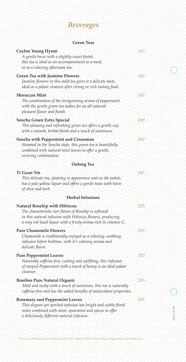| <b>Green Teas</b> |  |
|-------------------|--|
|-------------------|--|

| <b>Green Teas</b>                                                                                                                                                                                                           |     |            |
|-----------------------------------------------------------------------------------------------------------------------------------------------------------------------------------------------------------------------------|-----|------------|
| <b>Ceylon Young Hyson</b><br>A gentle brew with a slightly sweet finish,<br>this tea is ideal as an accompaniment to a meal,<br>or as a relaxing afternoon tea.                                                             | 160 |            |
| <b>Green Tea with Jasmine Flowers</b><br>Jasmine flowers in this mild tea gives it a delicate taste,<br>ideal as a palate cleanser after strong or rich tasting food.                                                       | 160 |            |
| <b>Moroccan Mint</b><br>The combination of the invigorating aroma of peppermint<br>with the gentle green tea makes for an all-natural<br>pleasant flavor and finish.                                                        | 160 |            |
| Sencha Green Extra Special<br>This pleasing and refreshing green tea offers a gentle cup<br>with a smooth, herbal finish and a touch of sweetness.                                                                          | 160 |            |
| <b>Sencha with Peppermint and Cinnamon</b><br>Steamed in the Sencha style, this green tea is beautifully<br>combined with natural mint leaves to offer a gentle,<br>reviving combination.                                   | 160 |            |
| <b>Oolong Tea</b>                                                                                                                                                                                                           |     |            |
| Ti Guan Yin<br>This delicate tea, pleasing in appearance and on the palate,<br>has a pale yellow liquor and offers a gentle taste with hints<br>of olive and herb.                                                          | 245 |            |
| <b>Herbal Infusions</b>                                                                                                                                                                                                     |     |            |
| <b>Natural Rosehip with Hibiscus</b><br>The characteristic tart flavor of Rosehip is softened<br>in this natural infusion with Hibiscus flowers, producing<br>a rosy red hued liquor with a fruity aroma rich in vitamin C. | 205 |            |
| <b>Pure Chamomile Flowers</b><br>Chamomile is traditionally enjoyed as a relaxing, soothing<br>infusion before bedtime, with it's calming aroma and<br>delicate flavor.                                                     | 205 |            |
| <b>Pure Peppermint Leaves</b><br>Naturally caffeine-free, cooling and uplifting, this infusion<br>of steeped Peppermint with a touch of honey is an ideal palate<br>cleanser.                                               | 205 |            |
| Rooibos Pure Natural Organic<br>Mild and nutty with a touch of sweetness, this tea is naturally<br>caffeine-free and has the added benefits of antioxidant properties.                                                      | 205 |            |
| <b>Rosemary and Peppermint Leaves</b><br>This elegant yet spirited infusion has bright and subtle floral<br>notes combined with mint, spearmint and spices to offer<br>a deliciously different natural infusion.            | 205 | 09.06.2019 |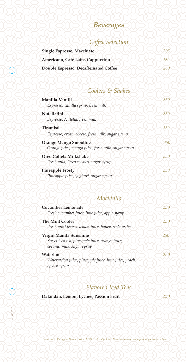### *Coffee Selection*

| Single Espresso, Macchiato            |  |
|---------------------------------------|--|
| Americano, Café Latte, Cappuccino     |  |
| Double Espresso, Decaffeinated Coffee |  |

# *Coolers & Shakes*

| Manilla-Vanilli<br>Espresso, vanilla syrup, fresh milk                             | 350 |
|------------------------------------------------------------------------------------|-----|
| Nutellatini<br>Espresso, Nutella, fresh milk                                       | 350 |
| Tiramisù<br>Espresso, cream cheese, fresh milk, sugar syrup                        | 350 |
| <b>Orange Mango Smoothie</b><br>Orange juice, mango juice, fresh milk, sugar syrup | 350 |
| Oreo Colleta Milkshake<br>Fresh milk, Oreo cookies, sugar syrup                    | 350 |
| <b>Pineapple Frosty</b><br>Pineapple juice, yoghurt, sugar syrup                   | 350 |

#### *Mocktails*

| <b>Cucumber Lemonade</b><br>Fresh cucumber juice, lime juice, apple syrup                             | 250        |
|-------------------------------------------------------------------------------------------------------|------------|
| <b>The Mint Cooler</b><br>Fresh mint leaves, lemon juice, honey, soda water                           | $\sqrt{5}$ |
| Virgin Manila Sunshine<br>Sweet iced tea, pineapple juice, orange juice,<br>coconut milk, sugar syrup | 250        |
| Waterloo<br>Watermelon juice, pineapple juice, lime juice, peach,<br>lychee syrup                     | 250        |

#### *Flavored Iced Teas*

| Dalandan, Lemon, Lychee, Passion Fruit |  |  |  |
|----------------------------------------|--|--|--|
|----------------------------------------|--|--|--|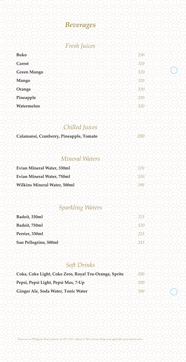

### *Fresh Juices*

| <b>Buko</b>        | 230           |
|--------------------|---------------|
| Carrot             | 320           |
| <b>Green Mango</b> | 320           |
| <b>Mango</b>       | $320^{\circ}$ |
| Orange             | 320           |
| Pineapple          | 320           |
| Watermelon         | 320           |

### *Chilled Juices*

| Calamansi, Cranberry, Pineapple, Tomato |  |
|-----------------------------------------|--|
|                                         |  |

# *Mineral Waters*

| Evian Mineral Water, 330ml          |  |
|-------------------------------------|--|
| <b>Evian Mineral Water, 750ml</b>   |  |
| <b>Wilkins Mineral Water, 500ml</b> |  |

#### *Sparkling Waters*

| Badoit, 330ml         | 225 |
|-----------------------|-----|
| Badoit, 750ml         |     |
| Perrier, 330ml        |     |
| San Pellegrino, 500ml |     |

## *Soft Drinks*

| Coke, Coke Light, Coke Zero, Royal Tru-Orange, Sprite | $\angle 00^{\circ}$ |
|-------------------------------------------------------|---------------------|
| Pepsi, Pepsi Light, Pepsi Max, 7-Up                   |                     |
| Ginger Ale, Soda Water, Tonic Water                   |                     |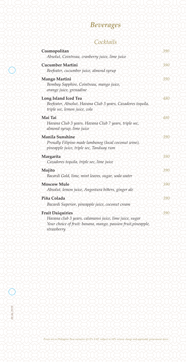#### *Cocktails*

| Cosmopolitan                                                                                 | 390 |
|----------------------------------------------------------------------------------------------|-----|
| Absolut, Cointreau, cranberry juice, lime juice                                              |     |
| <b>Cucumber Martini</b>                                                                      | 390 |
| Beefeater, cucumber juice, almond syrup                                                      |     |
| <b>Mango Martini</b>                                                                         | 390 |
| Bombay Sapphire, Cointreau, mango juice,<br>orange juice, grenadine                          |     |
| <b>Long Island Iced Tea</b>                                                                  | 480 |
| Beefeater, Absolut, Havana Club 3 years, Cazadores tequila,<br>triple sec, lemon juice, cola |     |
| Mai Tai                                                                                      | 480 |
| Havana Club 3 years, Havana Club 7 years, triple sec,<br>almond syrup, lime juice            |     |
| <b>Manila Sunshine</b>                                                                       | 390 |
| Proudly Filipino made lambanog (local coconut wine),                                         |     |
| pineapple juice, triple sec, Tanduay rum                                                     |     |
| Margarita                                                                                    | 390 |
| Cazadores tequila, triple sec, lime juice                                                    |     |
| Mojito                                                                                       | 390 |
| Bacardi Gold, lime, mint leaves, sugar, soda water                                           |     |
| <b>Moscow Mule</b>                                                                           | 390 |
| Absolut, lemon juice, Angostura bitters, ginger ale                                          |     |
| Piña Colada                                                                                  | 390 |
| Bacardi Superior, pineapple juice, coconut cream                                             |     |
| <b>Fruit Daiquiries</b>                                                                      | 390 |
| Havana club 3 years, calamansi juice, lime juice, sugar                                      |     |
| Your choice of fruit: banana, mango, passion fruit, pineapple,                               |     |
| strawberry                                                                                   |     |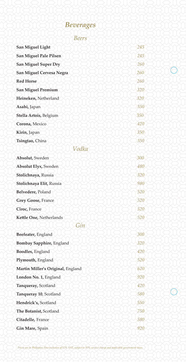#### *Beers*

| <b>San Miguel Light</b>           | 245 |
|-----------------------------------|-----|
| <b>San Miguel Pale Pilsen</b>     | 245 |
| <b>San Miguel Super Dry</b>       | 260 |
| San Miguel Cervesa Negra          | 260 |
| <b>Red Horse</b>                  | 260 |
| <b>San Miguel Premium</b>         | 320 |
| Heineken, Netherland              | 320 |
| Asahi, Japan                      | 350 |
| Stella Artois, Belgium            | 350 |
| Corona, Mexico                    | 420 |
| Kirin, Japan                      | 350 |
| Tsingtao, China                   | 350 |
| Vodka                             |     |
| Absolut, Sweden                   | 300 |
| <b>Absolut Elyx, Sweden</b>       | 480 |
| Stolichnaya, Russia               | 320 |
| Stolichnaya Elit, Russia          | 980 |
| Belvedere, Poland                 | 520 |
| <b>Grey Goose, France</b>         | 520 |
| Cîroc, France                     | 520 |
| Kettle One, Netherlands           | 520 |
| Gin                               |     |
| Beefeater, England                | 300 |
| Bombay Sapphire, England          | 320 |
| Boodles, England                  | 420 |
| Plymouth, England                 | 520 |
| Martin Miller's Original, England | 620 |
| London No. 1, England             | 920 |
| Tanqueray, Scotland               | 420 |
| Tanqueray 10, Scotland            | 580 |
| Hendrick's, Scotland              | 550 |
| The Botanist, Scotland            | 750 |
| Citadelle, France                 | 580 |
| Gin Mare, Spain                   | 920 |
|                                   |     |

*Prices are in Philippine Peso inclusive of 12% VAT, subject to 10% service charge and applicable government taxes.*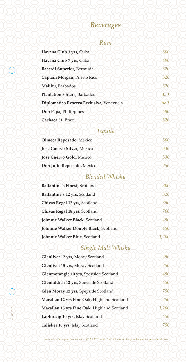#### *Rum*

| 300 |
|-----|
| 490 |
| 320 |
| 320 |
| 320 |
| 350 |
| 680 |
| 480 |
| 321 |
|     |

#### *Tequila*

| Olmeca Reposado, Mexico           |  |
|-----------------------------------|--|
| <b>Jose Cuervo Silver, Mexico</b> |  |
| Jose Cuervo Gold, Mexico          |  |
| Don Julio Reposado, Mexico        |  |
|                                   |  |

#### *Blended Whisky*

| Ballantine's Finest, Scotland         |     |
|---------------------------------------|-----|
| Ballantine's 12 yrs, Scotland         | 320 |
| Chivas Regal 12 yrs, Scotland         | 350 |
| Chivas Regal 18 yrs, Scotland         |     |
| Johnnie Walker Black, Scotland        | 450 |
| Johnnie Walker Double Black, Scotland | 450 |
| Johnnie Walker Blue, Scotland         |     |

### *Single Malt Whisky*

| Glenlivet 12 yrs, Moray Scotland            | 450  |
|---------------------------------------------|------|
| Glenlivet 15 yrs, Moray Scotland            | 750  |
| Glenmorangie 10 yrs, Speyside Scotland      | 450  |
| Glenfiddich 12 yrs, Speyside Scotland       | 450  |
| Glen Moray 12 yrs, Speyside Scotland        | 750  |
| Macallan 12 yrs Fine Oak, Highland Scotland | 750  |
| Macallan 15 yrs Fine Oak, Highland Scotland | ,200 |
| Laphroaig 10 yrs, Islay Scotland            | 450  |
| Talisker 10 yrs, Islay Scotland             | 750  |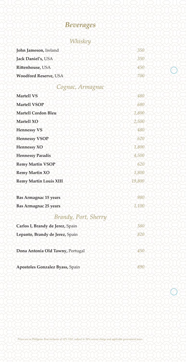# *Whiskey*

| John Jameson, Ireland            | 350    |
|----------------------------------|--------|
| Jack Daniel's, USA               | 350    |
| Rittenhouse, USA                 | 450    |
| <b>Woodford Reserve, USA</b>     | 700    |
| Cognac, Armagnac                 |        |
| <b>Martell VS</b>                | 480    |
| <b>Martell VSOP</b>              | 680    |
| <b>Martell Cordon Bleu</b>       | 1,800  |
| <b>Martell XO</b>                | 2,500  |
| <b>Hennessy VS</b>               | 480    |
| <b>Hennessy VSOP</b>             | 620    |
| <b>Hennessy XO</b>               | 1,800  |
| <b>Hennessy Paradis</b>          | 4,500  |
| <b>Remy Martin VSOP</b>          | 620    |
| <b>Remy Martin XO</b>            | 1,800  |
| <b>Remy Martin Louis XIII</b>    | 19,800 |
| <b>Bas Armagnac 15 years</b>     | 980    |
| <b>Bas Armagnac 25 years</b>     | 1,100  |
| Brandy, Port, Sherry             |        |
| Carlos I, Brandy de Jerez, Spain | 380    |
| Lepanto, Brandy de Jerez, Spain  | 820    |
| Dona Antonia Old Tawny, Portugal | 450    |
| Apostoles Gonzalez Byass, Spain  | 890    |

*Prices are in Philippine Peso inclusive of 12% VAT, subject to 10% service charge and applicable government taxes.*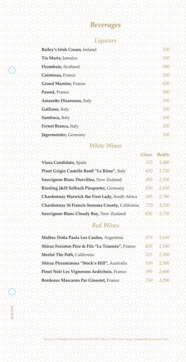### *Liqueurs*

| Bailey's Irish Cream, Ireland | 330 |
|-------------------------------|-----|
| Tia Maria, Jamaica            | 330 |
| Drambuie, Scotland            | 380 |
| Cointreau, France             | 330 |
| <b>Grand Marnier, France</b>  | 420 |
| Passoã, France                | 330 |
| Amaretto Disaronno, Italy     | 330 |
| Galliano, Italy               | 330 |
| Sambuca, Italy                | 330 |
| Fernet Branca, Italy          | 330 |
| Jägermeister, Germany         | 330 |

# *White Wines*

|                                                 | Glass | <b>Bottle</b> |
|-------------------------------------------------|-------|---------------|
| Viura Candidato, Spain                          | 325   | 1,480         |
| Pinot Grigio Castello Banfi "Le Rime", Italy    | 450   | 1,750         |
| Sauvignon Blanc Durvillea, New Zealand          | 495   | 2,350         |
| Riesling J&H Selbach Piesporter, Germany        | 550   | 2,650         |
| Chardonnay Warwick the First Lady, South Africa | 585   | 2,780         |
| Chardonnay St Francis Sonoma County, California | 725.  | 3,250         |
| Sauvignon Blanc Cloudy Bay, New Zealand         | 850   | 3.750         |

# *Red Wines*

| Malbec Doña Paula Los Cardos, Argentina          | 375 | 1,650 |
|--------------------------------------------------|-----|-------|
| Shiraz Ferraton Père & Fils "La Tournée", France | 420 | 2,180 |
| Merlot The Path, California                      | 525 | 2,300 |
| Shiraz Pirramimma "Stock's Hill", Australia      | 550 | 2,380 |
| Pinot Noir Les Vignerons Ardéchois, France       | 590 | 2,600 |
| <b>Bordeaux Mascaron Par Ginestet, France</b>    | 750 | .200  |